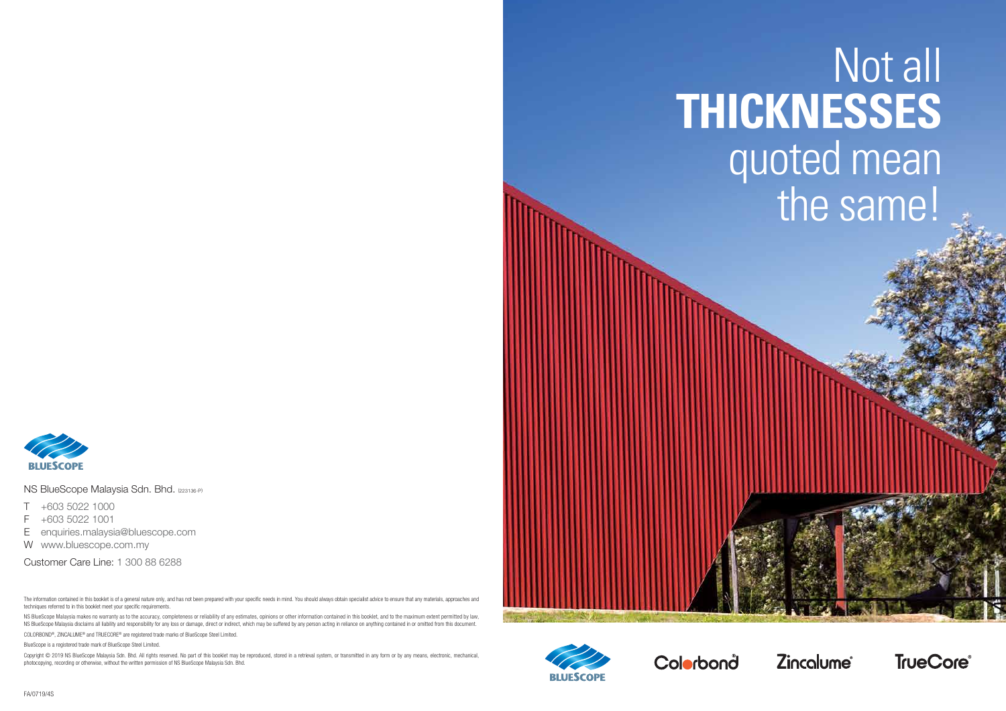# Not all **THICKNESSES** quoted mean the same!







NS BlueScope Malaysia Sdn. Bhd. (223136-P)

- T +603 5022 1000
- F +603 5022 1001
- E enquiries.malaysia@bluescope.com
- W www.bluescope.com.my

Customer Care Line: 1 300 88 6288

The information contained in this booklet is of a general nature only, and has not been prepared with your specific needs in mind. You should always obtain specialist advice to ensure that any materials, approaches and techniques referred to in this booklet meet your specific requirements.

NS BlueScope Malaysia makes no warranty as to the accuracy, completeness or reliability of any estimates, opinions or other information contained in this booklet, and to the maximum extent permitted by law, NS BlueScope Malaysia disclaims all liability and responsibility for any loss or damage, direct or indirect, which may be suffered by any person acting in reliance on anything contained in or omitted from this document.

Copyright @ 2019 NS BlueScope Malaysia Sdn. Bhd. All rights reserved. No part of this booklet may be reproduced, stored in a retrieval system, or transmitted in any form or by any means, electronic, mechanical, photocopying, recording or otherwise, without the written permission of NS BlueScope Malaysia Sdn. Bhd.





COLORBOND®, ZINCALUME® and TRUECORE® are registered trade marks of BlueScope Steel Limited.

BlueScope is a registered trade mark of BlueScope Steel Limited.